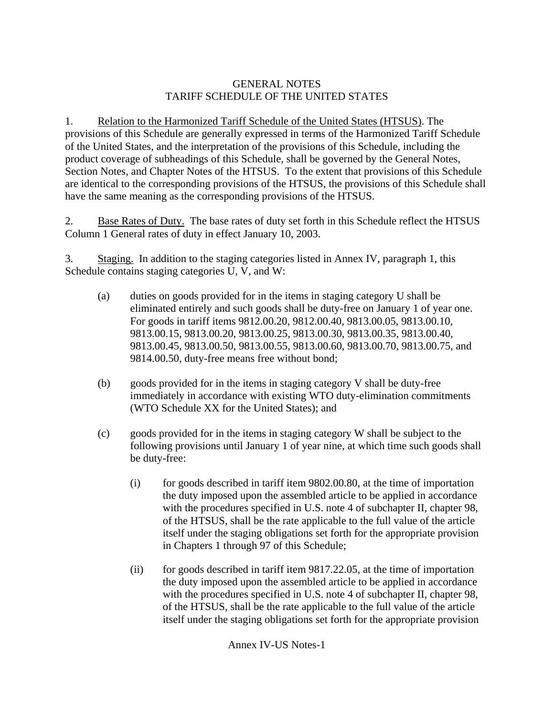### GENERAL NOTES TARIFF SCHEDULE OF THE UNITED STATES

1. Relation to the Harmonized Tariff Schedule of the United States (HTSUS). The provisions of this Schedule are generally expressed in terms of the Harmonized Tariff Schedule of the United States, and the interpretation of the provisions of this Schedule, including the product coverage of subheadings of this Schedule, shall be governed by the General Notes, Section Notes, and Chapter Notes of the HTSUS. To the extent that provisions of this Schedule are identical to the corresponding provisions of the HTSUS, the provisions of this Schedule shall have the same meaning as the corresponding provisions of the HTSUS.

2. Base Rates of Duty. The base rates of duty set forth in this Schedule reflect the HTSUS Column 1 General rates of duty in effect January 10, 2003.

3. Staging. In addition to the staging categories listed in Annex IV, paragraph 1, this Schedule contains staging categories U, V, and W:

- (a) duties on goods provided for in the items in staging category U shall be eliminated entirely and such goods shall be duty-free on January 1 of year one. For goods in tariff items 9812.00.20, 9812.00.40, 9813.00.05, 9813.00.10, 9813.00.15, 9813.00.20, 9813.00.25, 9813.00.30, 9813.00.35, 9813.00.40, 9813.00.45, 9813.00.50, 9813.00.55, 9813.00.60, 9813.00.70, 9813.00.75, and 9814.00.50, duty-free means free without bond;
- (b) goods provided for in the items in staging category V shall be duty-free immediately in accordance with existing WTO duty-elimination commitments (WTO Schedule XX for the United States); and
- (c) goods provided for in the items in staging category W shall be subject to the following provisions until January 1 of year nine, at which time such goods shall be duty-free:
	- $(i)$  for goods described in tariff item 9802.00.80, at the time of importation the duty imposed upon the assembled article to be applied in accordance with the procedures specified in U.S. note 4 of subchapter II, chapter 98, of the HTSUS, shall be the rate applicable to the full value of the article itself under the staging obligations set forth for the appropriate provision in Chapters 1 through 97 of this Schedule;
	- (ii) for goods described in tariff item 9817.22.05, at the time of importation the duty imposed upon the assembled article to be applied in accordance with the procedures specified in U.S. note 4 of subchapter II, chapter 98, of the HTSUS, shall be the rate applicable to the full value of the article itself under the staging obligations set forth for the appropriate provision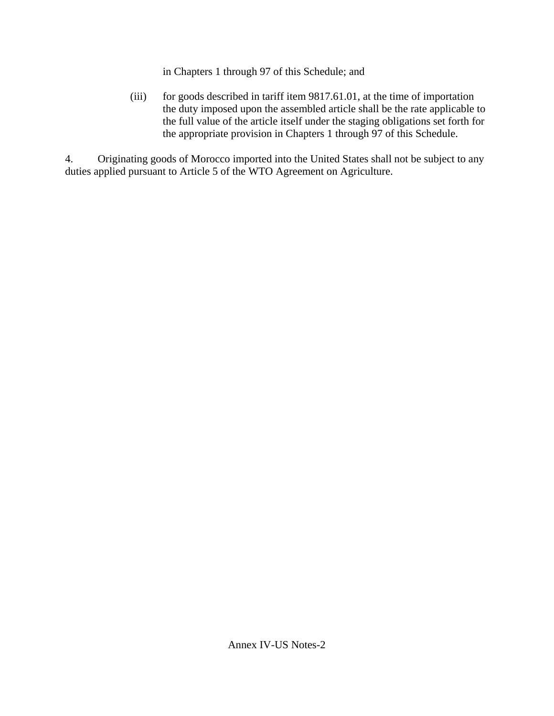in Chapters 1 through 97 of this Schedule; and

(iii) for goods described in tariff item 9817.61.01, at the time of importation the duty imposed upon the assembled article shall be the rate applicable to the full value of the article itself under the staging obligations set forth for the appropriate provision in Chapters 1 through 97 of this Schedule.

4. Originating goods of Morocco imported into the United States shall not be subject to any duties applied pursuant to Article 5 of the WTO Agreement on Agriculture.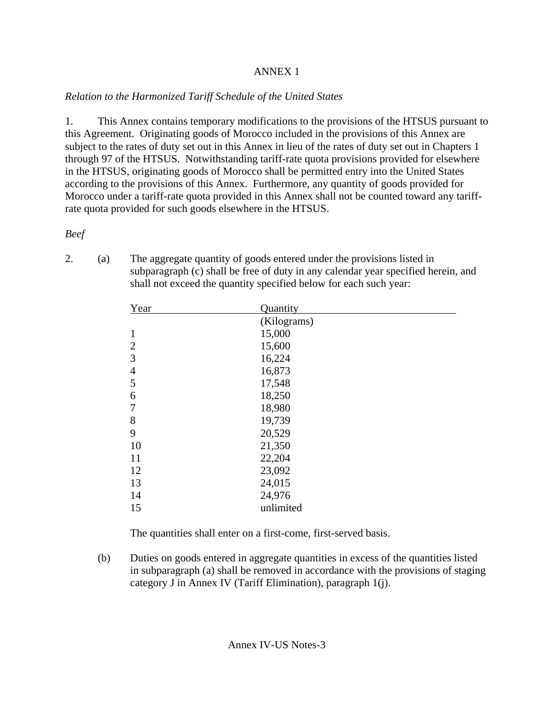## ANNEX 1

# *Relation to the Harmonized Tariff Schedule of the United States*

1. This Annex contains temporary modifications to the provisions of the HTSUS pursuant to this Agreement. Originating goods of Morocco included in the provisions of this Annex are subject to the rates of duty set out in this Annex in lieu of the rates of duty set out in Chapters 1 through 97 of the HTSUS. Notwithstanding tariff-rate quota provisions provided for elsewhere in the HTSUS, originating goods of Morocco shall be permitted entry into the United States according to the provisions of this Annex. Furthermore, any quantity of goods provided for Morocco under a tariff-rate quota provided in this Annex shall not be counted toward any tariffrate quota provided for such goods elsewhere in the HTSUS.

*Beef* 

2. (a) The aggregate quantity of goods entered under the provisions listed in subparagraph (c) shall be free of duty in any calendar year specified herein, and shall not exceed the quantity specified below for each such year:

| Year           | Quantity    |  |
|----------------|-------------|--|
|                | (Kilograms) |  |
| $\mathbf{1}$   | 15,000      |  |
| $\overline{2}$ | 15,600      |  |
| 3              | 16,224      |  |
| $\overline{4}$ | 16,873      |  |
| 5              | 17,548      |  |
| 6              | 18,250      |  |
| $\overline{7}$ | 18,980      |  |
| 8              | 19,739      |  |
| 9              | 20,529      |  |
| 10             | 21,350      |  |
| 11             | 22,204      |  |
| 12             | 23,092      |  |
| 13             | 24,015      |  |
| 14             | 24,976      |  |
| 15             | unlimited   |  |
|                |             |  |

The quantities shall enter on a first-come, first-served basis.

(b) Duties on goods entered in aggregate quantities in excess of the quantities listed in subparagraph (a) shall be removed in accordance with the provisions of staging category J in Annex IV (Tariff Elimination), paragraph 1(j).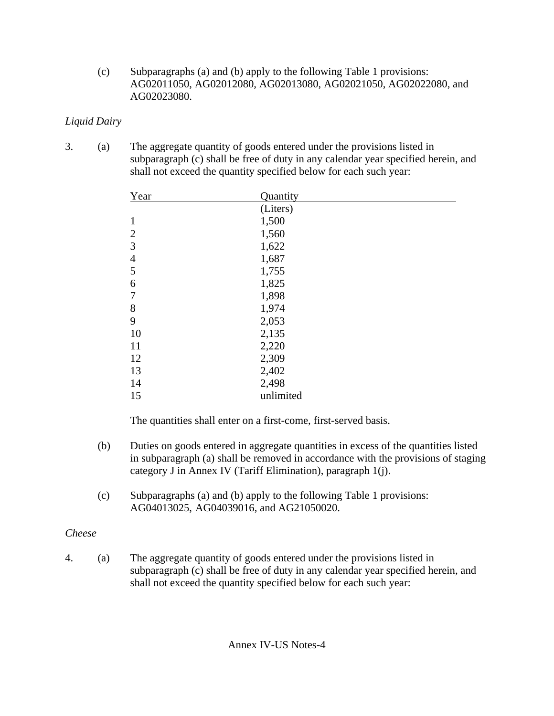(c) Subparagraphs (a) and (b) apply to the following Table 1 provisions: AG02011050, AG02012080, AG02013080, AG02021050, AG02022080, and AG02023080.

## *Liquid Dairy*

3. (a) The aggregate quantity of goods entered under the provisions listed in subparagraph (c) shall be free of duty in any calendar year specified herein, and shall not exceed the quantity specified below for each such year:

| Year           | Quantity  |
|----------------|-----------|
|                | (Liters)  |
| $\mathbf{1}$   | 1,500     |
| $\overline{2}$ | 1,560     |
| 3              | 1,622     |
| $\overline{4}$ | 1,687     |
| 5              | 1,755     |
| 6              | 1,825     |
| $\overline{7}$ | 1,898     |
| 8              | 1,974     |
| 9              | 2,053     |
| 10             | 2,135     |
| 11             | 2,220     |
| 12             | 2,309     |
| 13             | 2,402     |
| 14             | 2,498     |
| 15             | unlimited |

The quantities shall enter on a first-come, first-served basis.

- (b) Duties on goods entered in aggregate quantities in excess of the quantities listed in subparagraph (a) shall be removed in accordance with the provisions of staging category J in Annex IV (Tariff Elimination), paragraph 1(j).
- (c) Subparagraphs (a) and (b) apply to the following Table 1 provisions: AG04013025, AG04039016, and AG21050020.

# *Cheese*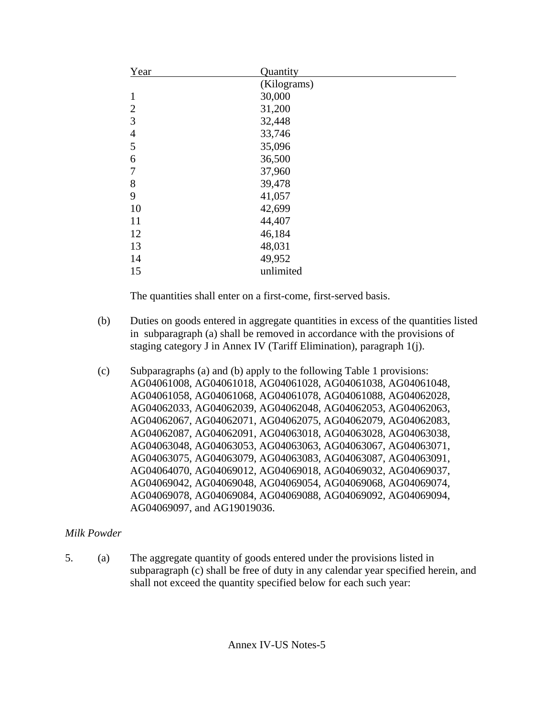| Year           | Quantity    |
|----------------|-------------|
|                | (Kilograms) |
| $\mathbf{1}$   | 30,000      |
| $\overline{2}$ | 31,200      |
| 3              | 32,448      |
| $\overline{4}$ | 33,746      |
| 5              | 35,096      |
| 6              | 36,500      |
| $\overline{7}$ | 37,960      |
| 8              | 39,478      |
| 9              | 41,057      |
| 10             | 42,699      |
| 11             | 44,407      |
| 12             | 46,184      |
| 13             | 48,031      |
| 14             | 49,952      |
| 15             | unlimited   |

- (b) Duties on goods entered in aggregate quantities in excess of the quantities listed in subparagraph (a) shall be removed in accordance with the provisions of staging category J in Annex IV (Tariff Elimination), paragraph 1(j).
- (c) Subparagraphs (a) and (b) apply to the following Table 1 provisions: AG04061008, AG04061018, AG04061028, AG04061038, AG04061048, AG04061058, AG04061068, AG04061078, AG04061088, AG04062028, AG04062033, AG04062039, AG04062048, AG04062053, AG04062063, AG04062067, AG04062071, AG04062075, AG04062079, AG04062083, AG04062087, AG04062091, AG04063018, AG04063028, AG04063038, AG04063048, AG04063053, AG04063063, AG04063067, AG04063071, AG04063075, AG04063079, AG04063083, AG04063087, AG04063091, AG04064070, AG04069012, AG04069018, AG04069032, AG04069037, AG04069042, AG04069048, AG04069054, AG04069068, AG04069074, AG04069078, AG04069084, AG04069088, AG04069092, AG04069094, AG04069097, and AG19019036.

# *Milk Powder*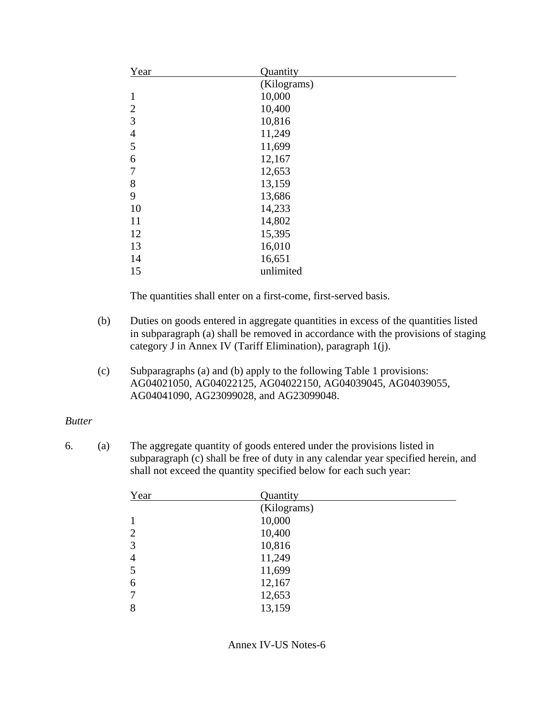| Year           | Quantity    |  |
|----------------|-------------|--|
|                | (Kilograms) |  |
| $\mathbf{1}$   | 10,000      |  |
| $\overline{2}$ | 10,400      |  |
| $\mathfrak{Z}$ | 10,816      |  |
| $\overline{4}$ | 11,249      |  |
| 5              | 11,699      |  |
| 6              | 12,167      |  |
| $\overline{7}$ | 12,653      |  |
| $8\,$          | 13,159      |  |
| 9              | 13,686      |  |
| 10             | 14,233      |  |
| 11             | 14,802      |  |
| 12             | 15,395      |  |
| 13             | 16,010      |  |
| 14             | 16,651      |  |
| 15             | unlimited   |  |

- (b) Duties on goods entered in aggregate quantities in excess of the quantities listed in subparagraph (a) shall be removed in accordance with the provisions of staging category J in Annex IV (Tariff Elimination), paragraph 1(j).
- (c) Subparagraphs (a) and (b) apply to the following Table 1 provisions: AG04021050, AG04022125, AG04022150, AG04039045, AG04039055, AG04041090, AG23099028, and AG23099048.

### *Butter*

| Year           | Quantity    |  |
|----------------|-------------|--|
|                | (Kilograms) |  |
|                | 10,000      |  |
| $\overline{2}$ | 10,400      |  |
| 3              | 10,816      |  |
| $\overline{4}$ | 11,249      |  |
| 5              | 11,699      |  |
| 6              | 12,167      |  |
| 7              | 12,653      |  |
| 8              | 13,159      |  |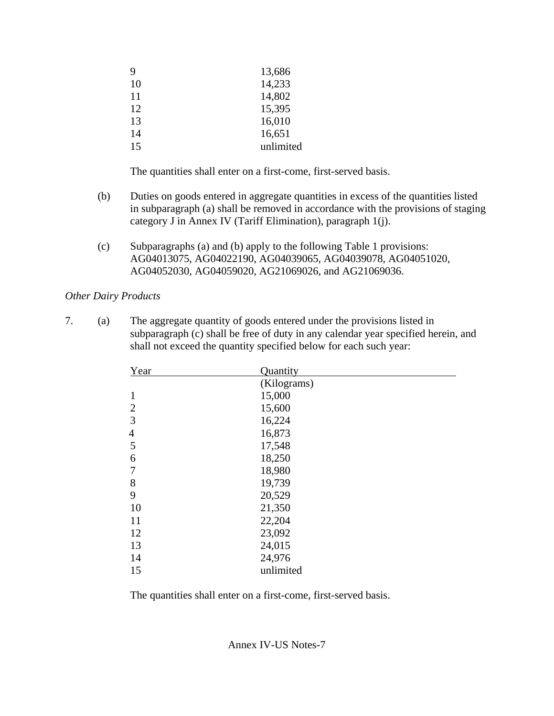| 9  | 13,686    |
|----|-----------|
| 10 | 14,233    |
| 11 | 14,802    |
| 12 | 15,395    |
| 13 | 16,010    |
| 14 | 16,651    |
| 15 | unlimited |

- (b) Duties on goods entered in aggregate quantities in excess of the quantities listed in subparagraph (a) shall be removed in accordance with the provisions of staging category J in Annex IV (Tariff Elimination), paragraph 1(j).
- (c) Subparagraphs (a) and (b) apply to the following Table 1 provisions: AG04013075, AG04022190, AG04039065, AG04039078, AG04051020, AG04052030, AG04059020, AG21069026, and AG21069036.

#### *Other Dairy Products*

7. (a) The aggregate quantity of goods entered under the provisions listed in subparagraph (c) shall be free of duty in any calendar year specified herein, and shall not exceed the quantity specified below for each such year:

| Year           | Quantity    |
|----------------|-------------|
|                | (Kilograms) |
| $\mathbf{1}$   | 15,000      |
| $\overline{2}$ | 15,600      |
| 3              | 16,224      |
| $\overline{4}$ | 16,873      |
| 5              | 17,548      |
| 6              | 18,250      |
| $\overline{7}$ | 18,980      |
| 8              | 19,739      |
| 9              | 20,529      |
| 10             | 21,350      |
| 11             | 22,204      |
| 12             | 23,092      |
| 13             | 24,015      |
| 14             | 24,976      |
| 15             | unlimited   |

The quantities shall enter on a first-come, first-served basis.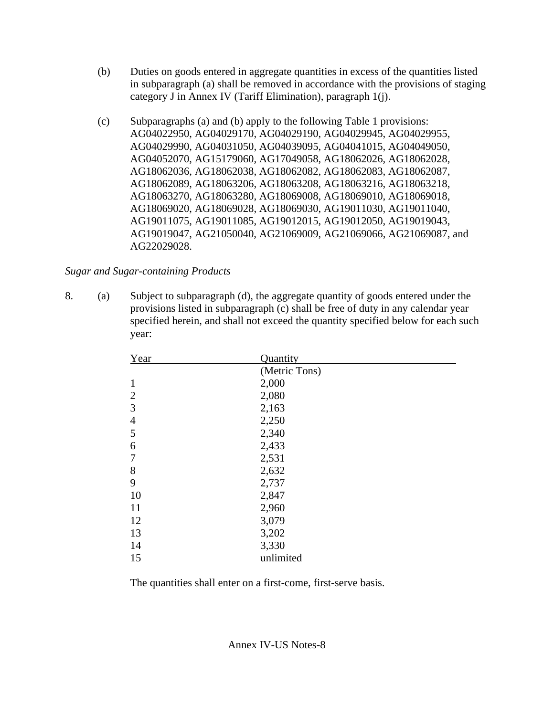- (b) Duties on goods entered in aggregate quantities in excess of the quantities listed in subparagraph (a) shall be removed in accordance with the provisions of staging category J in Annex IV (Tariff Elimination), paragraph 1(j).
- (c) Subparagraphs (a) and (b) apply to the following Table 1 provisions: AG04022950, AG04029170, AG04029190, AG04029945, AG04029955, AG04029990, AG04031050, AG04039095, AG04041015, AG04049050, AG04052070, AG15179060, AG17049058, AG18062026, AG18062028, AG18062036, AG18062038, AG18062082, AG18062083, AG18062087, AG18062089, AG18063206, AG18063208, AG18063216, AG18063218, AG18063270, AG18063280, AG18069008, AG18069010, AG18069018, AG18069020, AG18069028, AG18069030, AG19011030, AG19011040, AG19011075, AG19011085, AG19012015, AG19012050, AG19019043, AG19019047, AG21050040, AG21069009, AG21069066, AG21069087, and AG22029028.

### *Sugar and Sugar-containing Products*

8. (a) Subject to subparagraph (d), the aggregate quantity of goods entered under the provisions listed in subparagraph (c) shall be free of duty in any calendar year specified herein, and shall not exceed the quantity specified below for each such year:

| Year           | Quantity      |
|----------------|---------------|
|                | (Metric Tons) |
| $\mathbf{1}$   | 2,000         |
| $\overline{2}$ | 2,080         |
| 3              | 2,163         |
| $\overline{4}$ | 2,250         |
| 5              | 2,340         |
| 6              | 2,433         |
| $\overline{7}$ | 2,531         |
| 8              | 2,632         |
| 9              | 2,737         |
| 10             | 2,847         |
| 11             | 2,960         |
| 12             | 3,079         |
| 13             | 3,202         |
| 14             | 3,330         |
| 15             | unlimited     |

The quantities shall enter on a first-come, first-serve basis.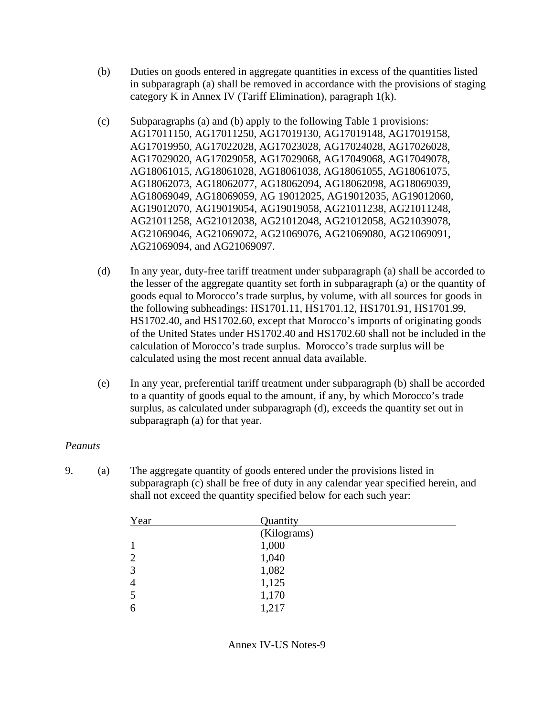- (b) Duties on goods entered in aggregate quantities in excess of the quantities listed in subparagraph (a) shall be removed in accordance with the provisions of staging category K in Annex IV (Tariff Elimination), paragraph 1(k).
- (c) Subparagraphs (a) and (b) apply to the following Table 1 provisions: AG17011150, AG17011250, AG17019130, AG17019148, AG17019158, AG17019950, AG17022028, AG17023028, AG17024028, AG17026028, AG17029020, AG17029058, AG17029068, AG17049068, AG17049078, AG18061015, AG18061028, AG18061038, AG18061055, AG18061075, AG18062073, AG18062077, AG18062094, AG18062098, AG18069039, AG18069049, AG18069059, AG 19012025, AG19012035, AG19012060, AG19012070, AG19019054, AG19019058, AG21011238, AG21011248, AG21011258, AG21012038, AG21012048, AG21012058, AG21039078, AG21069046, AG21069072, AG21069076, AG21069080, AG21069091, AG21069094, and AG21069097.
- (d) In any year, duty-free tariff treatment under subparagraph (a) shall be accorded to the lesser of the aggregate quantity set forth in subparagraph (a) or the quantity of goods equal to Morocco's trade surplus, by volume, with all sources for goods in the following subheadings: HS1701.11, HS1701.12, HS1701.91, HS1701.99, HS1702.40, and HS1702.60, except that Morocco's imports of originating goods of the United States under HS1702.40 and HS1702.60 shall not be included in the calculation of Morocco's trade surplus. Morocco's trade surplus will be calculated using the most recent annual data available.
- (e) In any year, preferential tariff treatment under subparagraph (b) shall be accorded to a quantity of goods equal to the amount, if any, by which Morocco's trade surplus, as calculated under subparagraph (d), exceeds the quantity set out in subparagraph (a) for that year.

#### *Peanuts*

| Year | Quantity    |  |
|------|-------------|--|
|      | (Kilograms) |  |
|      | 1,000       |  |
| 2    | 1,040       |  |
| 3    | 1,082       |  |
| 4    | 1,125       |  |
| 5    | 1,170       |  |
| 6    | 1,217       |  |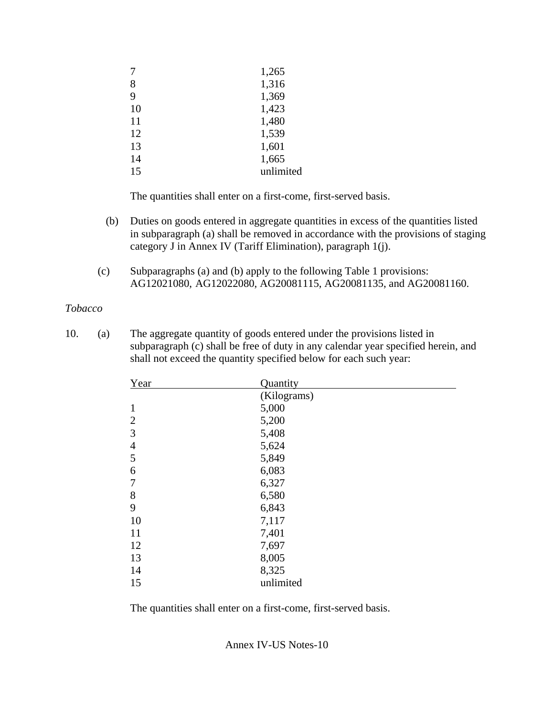|    | 1,265     |
|----|-----------|
| 8  | 1,316     |
| 9  | 1,369     |
| 10 | 1,423     |
| 11 | 1,480     |
| 12 | 1,539     |
| 13 | 1,601     |
| 14 | 1,665     |
| 15 | unlimited |
|    |           |

- (b) Duties on goods entered in aggregate quantities in excess of the quantities listed in subparagraph (a) shall be removed in accordance with the provisions of staging category J in Annex IV (Tariff Elimination), paragraph 1(j).
- (c) Subparagraphs (a) and (b) apply to the following Table 1 provisions: AG12021080, AG12022080, AG20081115, AG20081135, and AG20081160.

#### *Tobacco*

10. (a) The aggregate quantity of goods entered under the provisions listed in subparagraph (c) shall be free of duty in any calendar year specified herein, and shall not exceed the quantity specified below for each such year:

| Year           | Quantity    |  |
|----------------|-------------|--|
|                | (Kilograms) |  |
| $\mathbf{1}$   | 5,000       |  |
| $\overline{2}$ | 5,200       |  |
| 3              | 5,408       |  |
| $\overline{4}$ | 5,624       |  |
| 5              | 5,849       |  |
| 6              | 6,083       |  |
| $\tau$         | 6,327       |  |
| 8              | 6,580       |  |
| 9              | 6,843       |  |
| 10             | 7,117       |  |
| 11             | 7,401       |  |
| 12             | 7,697       |  |
| 13             | 8,005       |  |
| 14             | 8,325       |  |
| 15             | unlimited   |  |

The quantities shall enter on a first-come, first-served basis.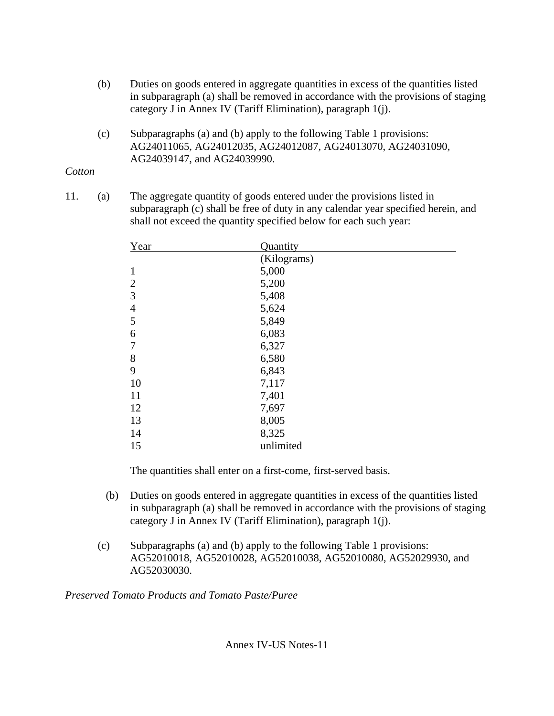- (b) Duties on goods entered in aggregate quantities in excess of the quantities listed in subparagraph (a) shall be removed in accordance with the provisions of staging category J in Annex IV (Tariff Elimination), paragraph 1(j).
- (c) Subparagraphs (a) and (b) apply to the following Table 1 provisions: AG24011065, AG24012035, AG24012087, AG24013070, AG24031090, AG24039147, and AG24039990.

# *Cotton*

11. (a) The aggregate quantity of goods entered under the provisions listed in subparagraph (c) shall be free of duty in any calendar year specified herein, and shall not exceed the quantity specified below for each such year:

| Year           | Quantity    |
|----------------|-------------|
|                | (Kilograms) |
| $\mathbf{1}$   | 5,000       |
| $\overline{2}$ | 5,200       |
| 3              | 5,408       |
| $\overline{4}$ | 5,624       |
| 5              | 5,849       |
| 6              | 6,083       |
| $\overline{7}$ | 6,327       |
| 8              | 6,580       |
| 9              | 6,843       |
| 10             | 7,117       |
| 11             | 7,401       |
| 12             | 7,697       |
| 13             | 8,005       |
| 14             | 8,325       |
| 15             | unlimited   |

The quantities shall enter on a first-come, first-served basis.

- (b) Duties on goods entered in aggregate quantities in excess of the quantities listed in subparagraph (a) shall be removed in accordance with the provisions of staging category J in Annex IV (Tariff Elimination), paragraph 1(j).
- (c) Subparagraphs (a) and (b) apply to the following Table 1 provisions: AG52010018, AG52010028, AG52010038, AG52010080, AG52029930, and AG52030030.

*Preserved Tomato Products and Tomato Paste/Puree*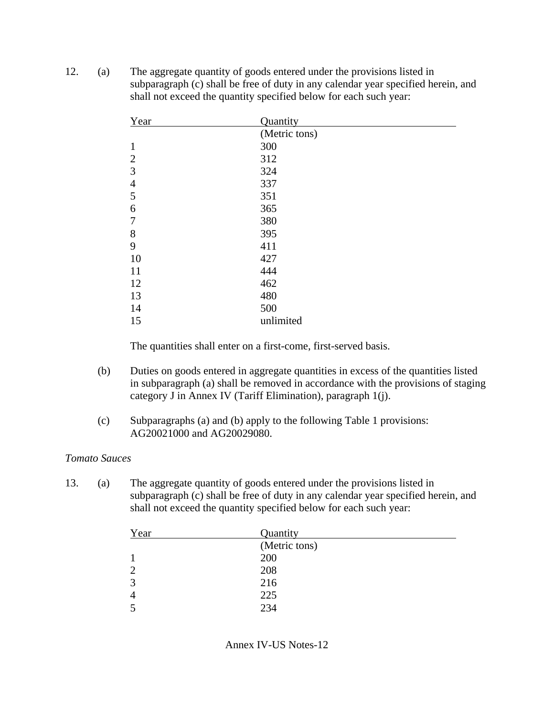12. (a) The aggregate quantity of goods entered under the provisions listed in subparagraph (c) shall be free of duty in any calendar year specified herein, and shall not exceed the quantity specified below for each such year:

| Year           | Quantity      |
|----------------|---------------|
|                | (Metric tons) |
| $\mathbf{1}$   | 300           |
| $\overline{2}$ | 312           |
| 3              | 324           |
| $\overline{4}$ | 337           |
| 5              | 351           |
| 6              | 365           |
| $\overline{7}$ | 380           |
| 8              | 395           |
| 9              | 411           |
| 10             | 427           |
| 11             | 444           |
| 12             | 462           |
| 13             | 480           |
| 14             | 500           |
| 15             | unlimited     |

The quantities shall enter on a first-come, first-served basis.

- (b) Duties on goods entered in aggregate quantities in excess of the quantities listed in subparagraph (a) shall be removed in accordance with the provisions of staging category J in Annex IV (Tariff Elimination), paragraph 1(j).
- (c) Subparagraphs (a) and (b) apply to the following Table 1 provisions: AG20021000 and AG20029080.

#### *Tomato Sauces*

13. (a) The aggregate quantity of goods entered under the provisions listed in subparagraph (c) shall be free of duty in any calendar year specified herein, and shall not exceed the quantity specified below for each such year:

| Year | Quantity      |  |
|------|---------------|--|
|      | (Metric tons) |  |
|      | 200           |  |
|      | 208           |  |
| 3    | 216           |  |
| 4    | 225           |  |
|      | 234           |  |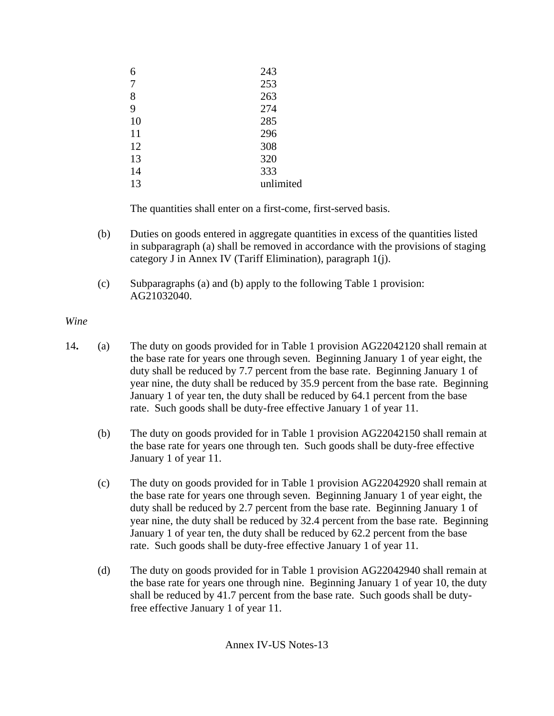| 6  | 243       |
|----|-----------|
| 7  | 253       |
| 8  | 263       |
| 9  | 274       |
| 10 | 285       |
| 11 | 296       |
| 12 | 308       |
| 13 | 320       |
| 14 | 333       |
| 13 | unlimited |

- (b) Duties on goods entered in aggregate quantities in excess of the quantities listed in subparagraph (a) shall be removed in accordance with the provisions of staging category J in Annex IV (Tariff Elimination), paragraph 1(j).
- (c) Subparagraphs (a) and (b) apply to the following Table 1 provision: AG21032040.

*Wine* 

- 14**.** (a) The duty on goods provided for in Table 1 provision AG22042120 shall remain at the base rate for years one through seven. Beginning January 1 of year eight, the duty shall be reduced by 7.7 percent from the base rate. Beginning January 1 of year nine, the duty shall be reduced by 35.9 percent from the base rate. Beginning January 1 of year ten, the duty shall be reduced by 64.1 percent from the base rate. Such goods shall be duty-free effective January 1 of year 11.
	- (b) The duty on goods provided for in Table 1 provision AG22042150 shall remain at the base rate for years one through ten. Such goods shall be duty-free effective January 1 of year 11.
	- (c) The duty on goods provided for in Table 1 provision AG22042920 shall remain at the base rate for years one through seven. Beginning January 1 of year eight, the duty shall be reduced by 2.7 percent from the base rate. Beginning January 1 of year nine, the duty shall be reduced by 32.4 percent from the base rate. Beginning January 1 of year ten, the duty shall be reduced by 62.2 percent from the base rate. Such goods shall be duty-free effective January 1 of year 11.
	- (d) The duty on goods provided for in Table 1 provision AG22042940 shall remain at the base rate for years one through nine. Beginning January 1 of year 10, the duty shall be reduced by 41.7 percent from the base rate. Such goods shall be dutyfree effective January 1 of year 11.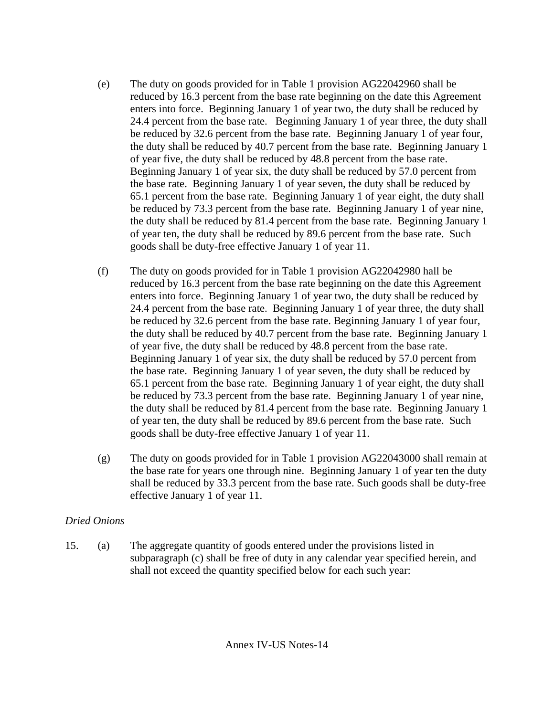- (e) The duty on goods provided for in Table 1 provision AG22042960 shall be reduced by 16.3 percent from the base rate beginning on the date this Agreement enters into force. Beginning January 1 of year two, the duty shall be reduced by 24.4 percent from the base rate. Beginning January 1 of year three, the duty shall be reduced by 32.6 percent from the base rate. Beginning January 1 of year four, the duty shall be reduced by 40.7 percent from the base rate. Beginning January 1 of year five, the duty shall be reduced by 48.8 percent from the base rate. Beginning January 1 of year six, the duty shall be reduced by 57.0 percent from the base rate. Beginning January 1 of year seven, the duty shall be reduced by 65.1 percent from the base rate. Beginning January 1 of year eight, the duty shall be reduced by 73.3 percent from the base rate. Beginning January 1 of year nine, the duty shall be reduced by 81.4 percent from the base rate. Beginning January 1 of year ten, the duty shall be reduced by 89.6 percent from the base rate. Such goods shall be duty-free effective January 1 of year 11.
- (f) The duty on goods provided for in Table 1 provision AG22042980 hall be reduced by 16.3 percent from the base rate beginning on the date this Agreement enters into force. Beginning January 1 of year two, the duty shall be reduced by 24.4 percent from the base rate. Beginning January 1 of year three, the duty shall be reduced by 32.6 percent from the base rate. Beginning January 1 of year four, the duty shall be reduced by 40.7 percent from the base rate. Beginning January 1 of year five, the duty shall be reduced by 48.8 percent from the base rate. Beginning January 1 of year six, the duty shall be reduced by 57.0 percent from the base rate. Beginning January 1 of year seven, the duty shall be reduced by 65.1 percent from the base rate. Beginning January 1 of year eight, the duty shall be reduced by 73.3 percent from the base rate. Beginning January 1 of year nine, the duty shall be reduced by 81.4 percent from the base rate. Beginning January 1 of year ten, the duty shall be reduced by 89.6 percent from the base rate. Such goods shall be duty-free effective January 1 of year 11.
- (g) The duty on goods provided for in Table 1 provision AG22043000 shall remain at the base rate for years one through nine. Beginning January 1 of year ten the duty shall be reduced by 33.3 percent from the base rate. Such goods shall be duty-free effective January 1 of year 11.

## *Dried Onions*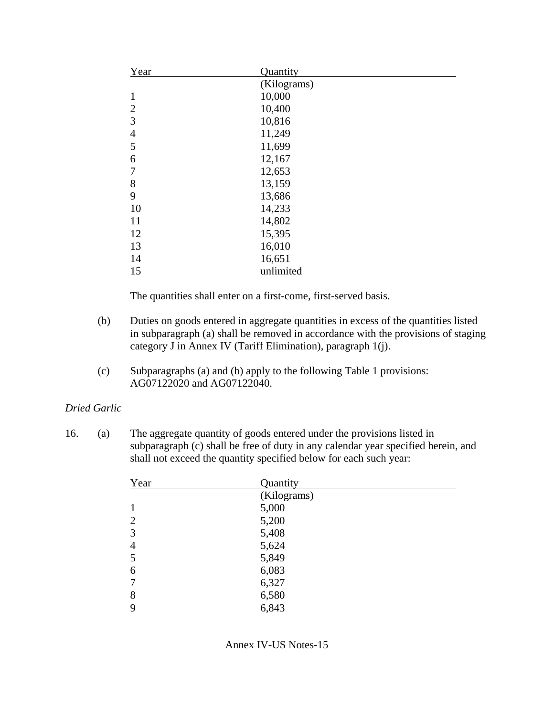| Year           | Quantity    |  |
|----------------|-------------|--|
|                | (Kilograms) |  |
| $\mathbf{1}$   | 10,000      |  |
| $\overline{2}$ | 10,400      |  |
| 3              | 10,816      |  |
| $\overline{4}$ | 11,249      |  |
| 5              | 11,699      |  |
| 6              | 12,167      |  |
| $\overline{7}$ | 12,653      |  |
| 8              | 13,159      |  |
| 9              | 13,686      |  |
| 10             | 14,233      |  |
| 11             | 14,802      |  |
| 12             | 15,395      |  |
| 13             | 16,010      |  |
| 14             | 16,651      |  |
| 15             | unlimited   |  |

- (b) Duties on goods entered in aggregate quantities in excess of the quantities listed in subparagraph (a) shall be removed in accordance with the provisions of staging category J in Annex IV (Tariff Elimination), paragraph 1(j).
- (c) Subparagraphs (a) and (b) apply to the following Table 1 provisions: AG07122020 and AG07122040.

### *Dried Garlic*

| Year           | Quantity    |
|----------------|-------------|
|                | (Kilograms) |
|                | 5,000       |
| $\overline{2}$ | 5,200       |
| 3              | 5,408       |
| 4              | 5,624       |
| 5              | 5,849       |
| 6              | 6,083       |
| $\tau$         | 6,327       |
| 8              | 6,580       |
| 9              | 6,843       |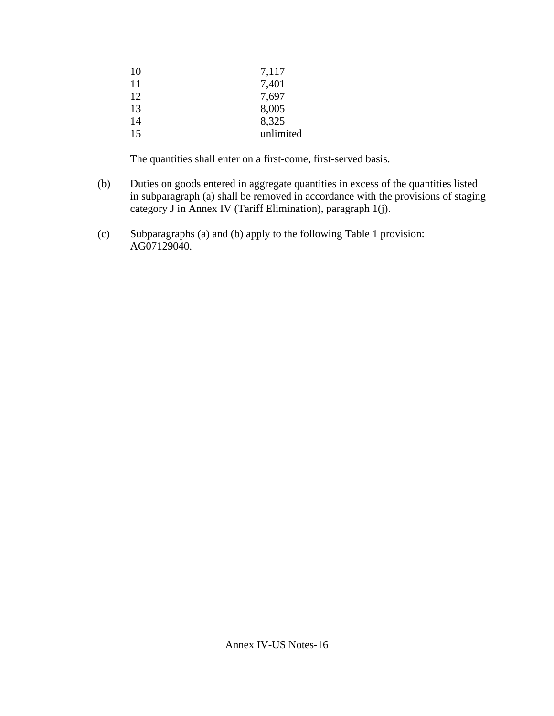| 7,117     |
|-----------|
| 7,401     |
| 7,697     |
| 8,005     |
| 8,325     |
| unlimited |
|           |

- (b) Duties on goods entered in aggregate quantities in excess of the quantities listed in subparagraph (a) shall be removed in accordance with the provisions of staging category J in Annex IV (Tariff Elimination), paragraph 1(j).
- (c) Subparagraphs (a) and (b) apply to the following Table 1 provision: AG07129040.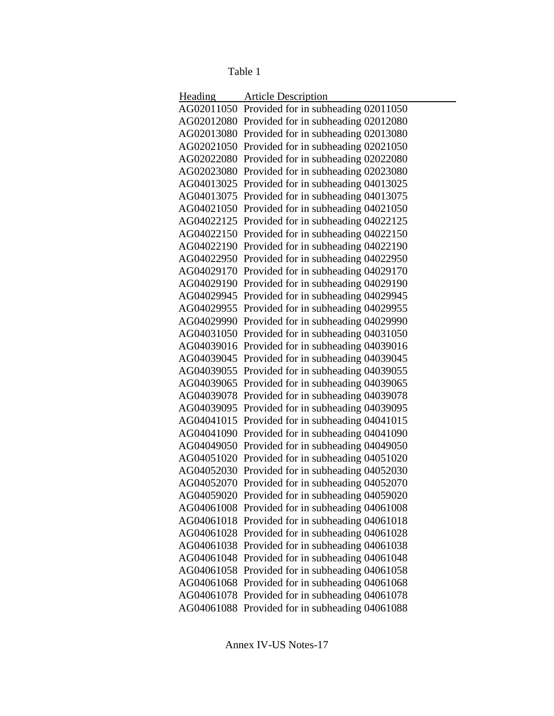Table 1

| Heading | <b>Article Description</b>                     |
|---------|------------------------------------------------|
|         | AG02011050 Provided for in subheading 02011050 |
|         | AG02012080 Provided for in subheading 02012080 |
|         | AG02013080 Provided for in subheading 02013080 |
|         | AG02021050 Provided for in subheading 02021050 |
|         | AG02022080 Provided for in subheading 02022080 |
|         | AG02023080 Provided for in subheading 02023080 |
|         | AG04013025 Provided for in subheading 04013025 |
|         | AG04013075 Provided for in subheading 04013075 |
|         | AG04021050 Provided for in subheading 04021050 |
|         | AG04022125 Provided for in subheading 04022125 |
|         | AG04022150 Provided for in subheading 04022150 |
|         | AG04022190 Provided for in subheading 04022190 |
|         | AG04022950 Provided for in subheading 04022950 |
|         | AG04029170 Provided for in subheading 04029170 |
|         | AG04029190 Provided for in subheading 04029190 |
|         | AG04029945 Provided for in subheading 04029945 |
|         | AG04029955 Provided for in subheading 04029955 |
|         | AG04029990 Provided for in subheading 04029990 |
|         | AG04031050 Provided for in subheading 04031050 |
|         | AG04039016 Provided for in subheading 04039016 |
|         | AG04039045 Provided for in subheading 04039045 |
|         | AG04039055 Provided for in subheading 04039055 |
|         | AG04039065 Provided for in subheading 04039065 |
|         | AG04039078 Provided for in subheading 04039078 |
|         | AG04039095 Provided for in subheading 04039095 |
|         | AG04041015 Provided for in subheading 04041015 |
|         | AG04041090 Provided for in subheading 04041090 |
|         | AG04049050 Provided for in subheading 04049050 |
|         | AG04051020 Provided for in subheading 04051020 |
|         | AG04052030 Provided for in subheading 04052030 |
|         | AG04052070 Provided for in subheading 04052070 |
|         | AG04059020 Provided for in subheading 04059020 |
|         | AG04061008 Provided for in subheading 04061008 |
|         | AG04061018 Provided for in subheading 04061018 |
|         | AG04061028 Provided for in subheading 04061028 |
|         | AG04061038 Provided for in subheading 04061038 |
|         | AG04061048 Provided for in subheading 04061048 |
|         | AG04061058 Provided for in subheading 04061058 |
|         | AG04061068 Provided for in subheading 04061068 |
|         | AG04061078 Provided for in subheading 04061078 |
|         | AG04061088 Provided for in subheading 04061088 |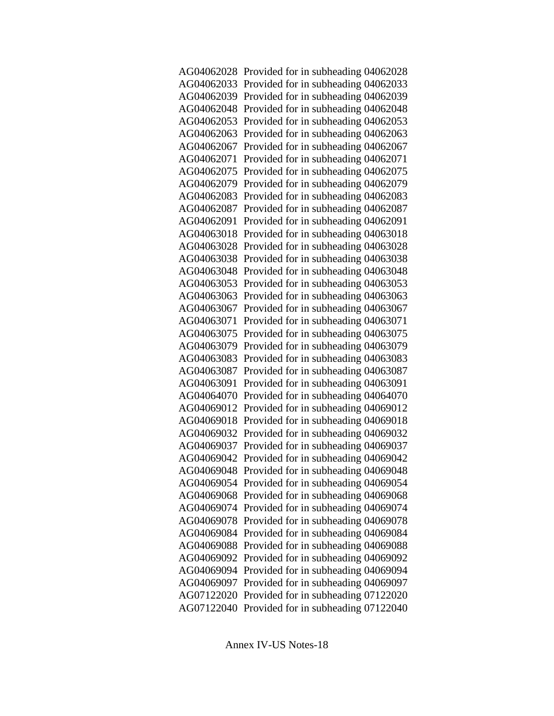|            | AG04062028 Provided for in subheading 04062028 |
|------------|------------------------------------------------|
|            | AG04062033 Provided for in subheading 04062033 |
|            | AG04062039 Provided for in subheading 04062039 |
|            | AG04062048 Provided for in subheading 04062048 |
|            | AG04062053 Provided for in subheading 04062053 |
| AG04062063 | Provided for in subheading 04062063            |
| AG04062067 | Provided for in subheading 04062067            |
| AG04062071 | Provided for in subheading 04062071            |
| AG04062075 | Provided for in subheading 04062075            |
|            | AG04062079 Provided for in subheading 04062079 |
| AG04062083 | Provided for in subheading 04062083            |
| AG04062087 | Provided for in subheading 04062087            |
| AG04062091 | Provided for in subheading 04062091            |
|            | AG04063018 Provided for in subheading 04063018 |
|            | AG04063028 Provided for in subheading 04063028 |
|            | AG04063038 Provided for in subheading 04063038 |
|            | AG04063048 Provided for in subheading 04063048 |
| AG04063053 | Provided for in subheading 04063053            |
| AG04063063 | Provided for in subheading 04063063            |
| AG04063067 | Provided for in subheading 04063067            |
| AG04063071 | Provided for in subheading 04063071            |
| AG04063075 | Provided for in subheading 04063075            |
| AG04063079 | Provided for in subheading 04063079            |
|            | AG04063083 Provided for in subheading 04063083 |
| AG04063087 | Provided for in subheading 04063087            |
| AG04063091 | Provided for in subheading 04063091            |
| AG04064070 | Provided for in subheading 04064070            |
|            | AG04069012 Provided for in subheading 04069012 |
|            | AG04069018 Provided for in subheading 04069018 |
|            | AG04069032 Provided for in subheading 04069032 |
|            | AG04069037 Provided for in subheading 04069037 |
|            | AG04069042 Provided for in subheading 04069042 |
|            | AG04069048 Provided for in subheading 04069048 |
|            | AG04069054 Provided for in subheading 04069054 |
|            | AG04069068 Provided for in subheading 04069068 |
| AG04069074 | Provided for in subheading 04069074            |
| AG04069078 | Provided for in subheading 04069078            |
| AG04069084 | Provided for in subheading 04069084            |
| AG04069088 | Provided for in subheading 04069088            |
| AG04069092 | Provided for in subheading 04069092            |
| AG04069094 | Provided for in subheading 04069094            |
| AG04069097 | Provided for in subheading 04069097            |
| AG07122020 | Provided for in subheading 07122020            |
| AG07122040 | Provided for in subheading 07122040            |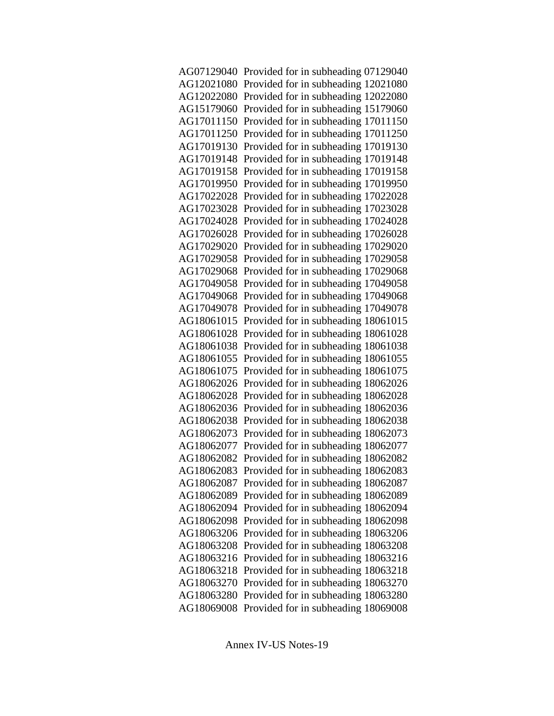|            | AG07129040 Provided for in subheading 07129040 |
|------------|------------------------------------------------|
|            | AG12021080 Provided for in subheading 12021080 |
|            | AG12022080 Provided for in subheading 12022080 |
|            | AG15179060 Provided for in subheading 15179060 |
|            | AG17011150 Provided for in subheading 17011150 |
|            | AG17011250 Provided for in subheading 17011250 |
|            | AG17019130 Provided for in subheading 17019130 |
|            | AG17019148 Provided for in subheading 17019148 |
|            | AG17019158 Provided for in subheading 17019158 |
|            | AG17019950 Provided for in subheading 17019950 |
|            | AG17022028 Provided for in subheading 17022028 |
|            | AG17023028 Provided for in subheading 17023028 |
|            | AG17024028 Provided for in subheading 17024028 |
|            | AG17026028 Provided for in subheading 17026028 |
|            | AG17029020 Provided for in subheading 17029020 |
|            | AG17029058 Provided for in subheading 17029058 |
|            | AG17029068 Provided for in subheading 17029068 |
|            | AG17049058 Provided for in subheading 17049058 |
|            | AG17049068 Provided for in subheading 17049068 |
|            | AG17049078 Provided for in subheading 17049078 |
|            | AG18061015 Provided for in subheading 18061015 |
|            | AG18061028 Provided for in subheading 18061028 |
|            | AG18061038 Provided for in subheading 18061038 |
|            | AG18061055 Provided for in subheading 18061055 |
|            | AG18061075 Provided for in subheading 18061075 |
|            | AG18062026 Provided for in subheading 18062026 |
|            | AG18062028 Provided for in subheading 18062028 |
|            | AG18062036 Provided for in subheading 18062036 |
|            | AG18062038 Provided for in subheading 18062038 |
|            | AG18062073 Provided for in subheading 18062073 |
|            | AG18062077 Provided for in subheading 18062077 |
|            | AG18062082 Provided for in subheading 18062082 |
|            | AG18062083 Provided for in subheading 18062083 |
|            | AG18062087 Provided for in subheading 18062087 |
|            | AG18062089 Provided for in subheading 18062089 |
|            | AG18062094 Provided for in subheading 18062094 |
|            | AG18062098 Provided for in subheading 18062098 |
|            | AG18063206 Provided for in subheading 18063206 |
|            | AG18063208 Provided for in subheading 18063208 |
|            | AG18063216 Provided for in subheading 18063216 |
|            | AG18063218 Provided for in subheading 18063218 |
| AG18063270 | Provided for in subheading 18063270            |
|            | AG18063280 Provided for in subheading 18063280 |
|            | AG18069008 Provided for in subheading 18069008 |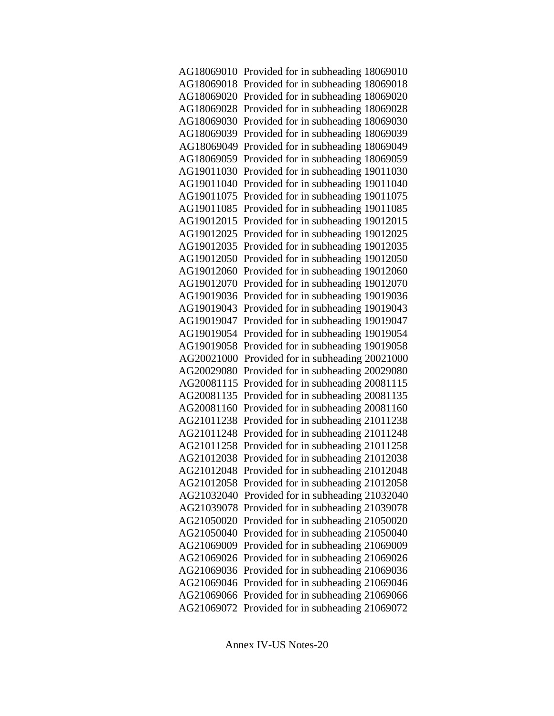| AG18069010 Provided for in subheading 18069010 |
|------------------------------------------------|
| AG18069018 Provided for in subheading 18069018 |
| AG18069020 Provided for in subheading 18069020 |
| AG18069028 Provided for in subheading 18069028 |
| AG18069030 Provided for in subheading 18069030 |
| AG18069039 Provided for in subheading 18069039 |
| AG18069049 Provided for in subheading 18069049 |
| AG18069059 Provided for in subheading 18069059 |
| AG19011030 Provided for in subheading 19011030 |
| AG19011040 Provided for in subheading 19011040 |
| AG19011075 Provided for in subheading 19011075 |
| AG19011085 Provided for in subheading 19011085 |
| AG19012015 Provided for in subheading 19012015 |
| AG19012025 Provided for in subheading 19012025 |
| AG19012035 Provided for in subheading 19012035 |
| AG19012050 Provided for in subheading 19012050 |
| AG19012060 Provided for in subheading 19012060 |
| AG19012070 Provided for in subheading 19012070 |
| AG19019036 Provided for in subheading 19019036 |
| AG19019043 Provided for in subheading 19019043 |
| AG19019047 Provided for in subheading 19019047 |
| AG19019054 Provided for in subheading 19019054 |
| AG19019058 Provided for in subheading 19019058 |
| AG20021000 Provided for in subheading 20021000 |
| AG20029080 Provided for in subheading 20029080 |
| AG20081115 Provided for in subheading 20081115 |
| AG20081135 Provided for in subheading 20081135 |
| AG20081160 Provided for in subheading 20081160 |
| AG21011238 Provided for in subheading 21011238 |
| AG21011248 Provided for in subheading 21011248 |
| AG21011258 Provided for in subheading 21011258 |
| AG21012038 Provided for in subheading 21012038 |
| AG21012048 Provided for in subheading 21012048 |
| AG21012058 Provided for in subheading 21012058 |
| AG21032040 Provided for in subheading 21032040 |
| AG21039078 Provided for in subheading 21039078 |
| AG21050020 Provided for in subheading 21050020 |
| AG21050040 Provided for in subheading 21050040 |
| AG21069009 Provided for in subheading 21069009 |
| AG21069026 Provided for in subheading 21069026 |
| AG21069036 Provided for in subheading 21069036 |
| AG21069046 Provided for in subheading 21069046 |
| AG21069066 Provided for in subheading 21069066 |
| AG21069072 Provided for in subheading 21069072 |